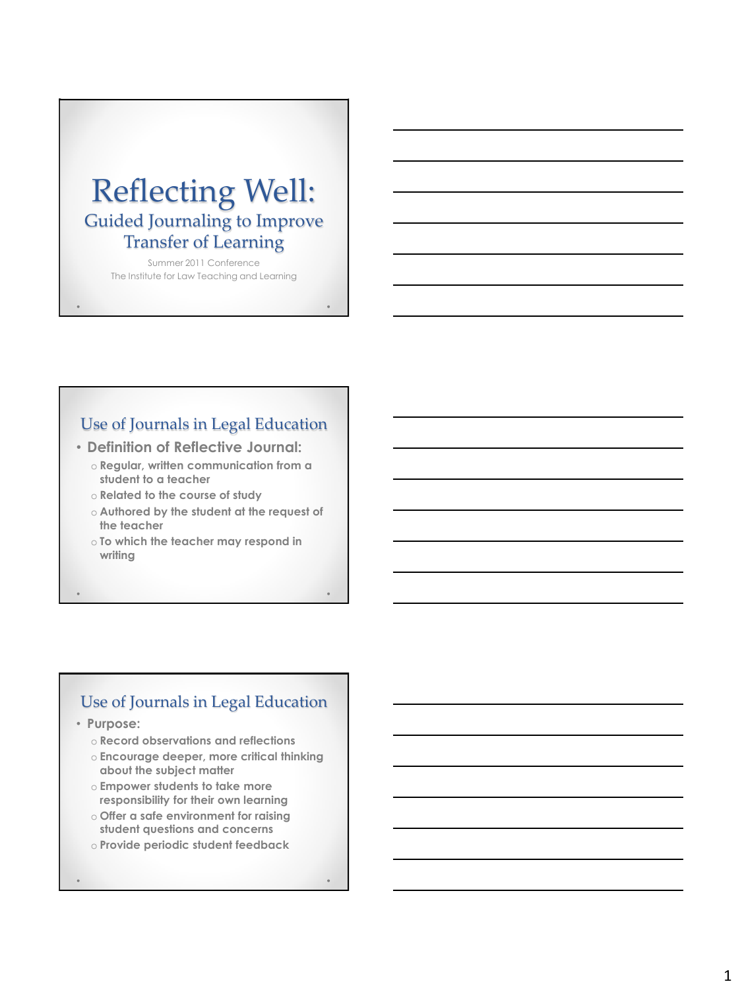# Reflecting Well: Guided Journaling to Improve Transfer of Learning

Summer 2011 Conference The Institute for Law Teaching and Learning

## Use of Journals in Legal Education

• **Definition of Reflective Journal:**

- o **Regular, written communication from a student to a teacher**
- o **Related to the course of study**
- o **Authored by the student at the request of the teacher**
- o **To which the teacher may respond in writing**

## Use of Journals in Legal Education

- **Purpose:**
	- o **Record observations and reflections**
	- o **Encourage deeper, more critical thinking about the subject matter**
	- o **Empower students to take more responsibility for their own learning**
	- o **Offer a safe environment for raising student questions and concerns**
	- o **Provide periodic student feedback**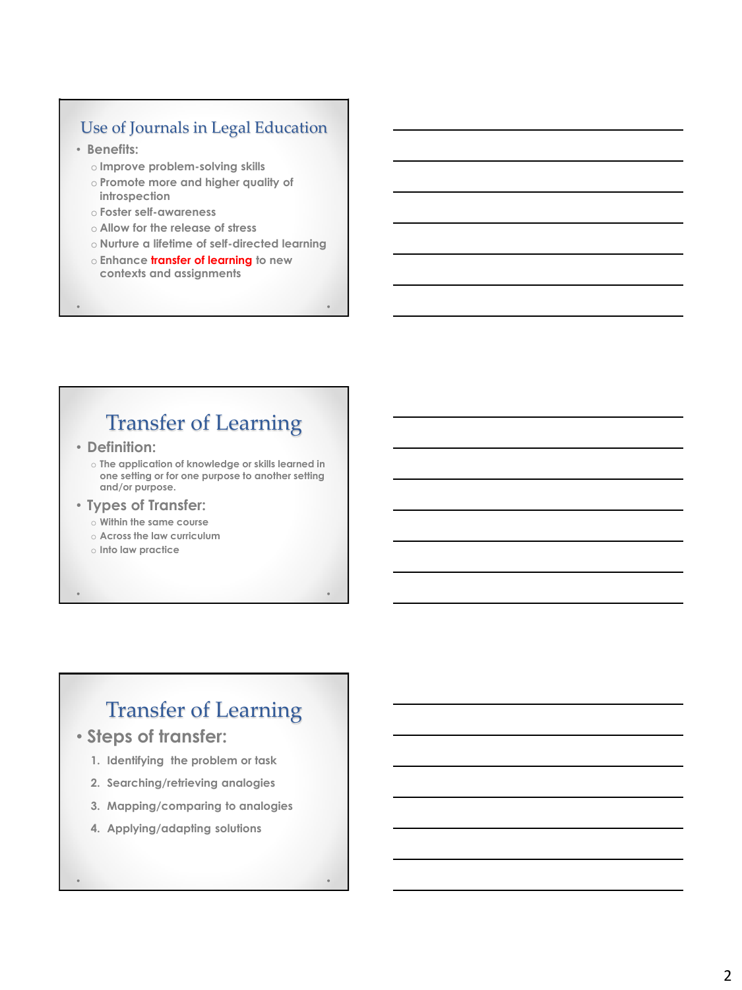## Use of Journals in Legal Education

- **Benefits:**
	- o **Improve problem-solving skills**
	- o **Promote more and higher quality of introspection**
	- o **Foster self-awareness**
	- o **Allow for the release of stress**
	- o **Nurture a lifetime of self-directed learning**
	- o **Enhance transfer of learning to new contexts and assignments**

# Transfer of Learning

• **Definition:** 

o **The application of knowledge or skills learned in one setting or for one purpose to another setting and/or purpose.**

- **Types of Transfer:**
	- o **Within the same course**
	- o **Across the law curriculum**
	- o **Into law practice**

# Transfer of Learning

- **Steps of transfer:**
	- **1. Identifying the problem or task**
	- **2. Searching/retrieving analogies**
	- **3. Mapping/comparing to analogies**
	- **4. Applying/adapting solutions**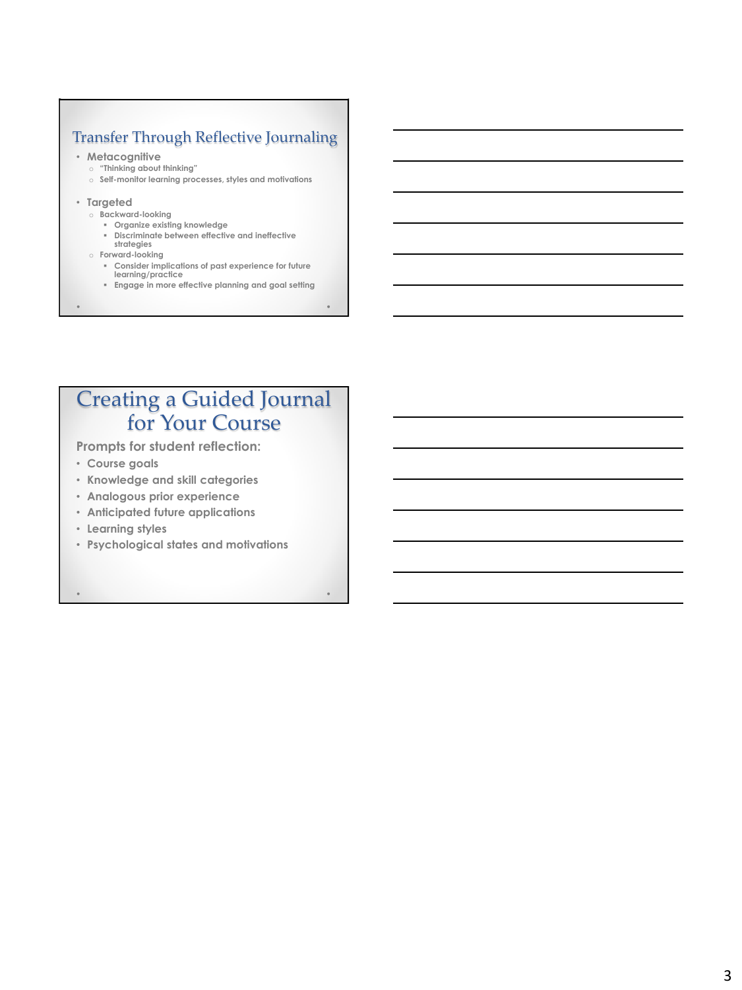## Transfer Through Reflective Journaling

#### • **Metacognitive**

- o **"Thinking about thinking"**
- o **Self-monitor learning processes, styles and motivations**
- **Targeted**
	- o **Backward-looking**
		- **Organize existing knowledge**
		- **Discriminate between effective and ineffective strategies**
	- o **Forward-looking**
		- **Consider implications of past experience for future learning/practice**
		- **Engage in more effective planning and goal setting**

# Creating a Guided Journal for Your Course

**Prompts for student reflection:**

- **Course goals**
- **Knowledge and skill categories**
- **Analogous prior experience**
- **Anticipated future applications**
- **Learning styles**
- **Psychological states and motivations**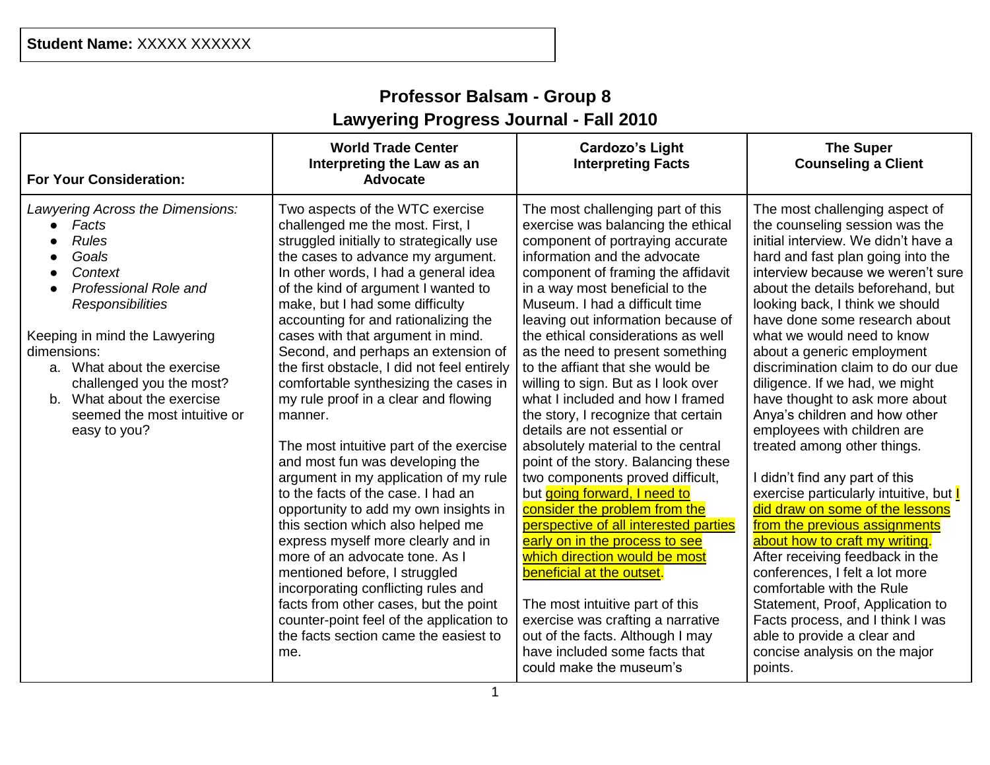# **Professor Balsam - Group 8 Lawyering Progress Journal - Fall 2010**

| <b>For Your Consideration:</b>                                                                                                                                                                                                                                                                                                         | <b>World Trade Center</b><br>Interpreting the Law as an<br>Advocate                                                                                                                                                                                                                                                                                                                                                                                                                                                                                                                                                                                                                                                                                                                                                                                                                                                                                                                                                                                                   | <b>Cardozo's Light</b><br><b>Interpreting Facts</b>                                                                                                                                                                                                                                                                                                                                                                                                                                                                                                                                                                                                                                                                                                                                                                                                                                                                                                                                                                                                             | <b>The Super</b><br><b>Counseling a Client</b>                                                                                                                                                                                                                                                                                                                                                                                                                                                                                                                                                                                                                                                                                                                                                                                                                                                                                                                                                         |
|----------------------------------------------------------------------------------------------------------------------------------------------------------------------------------------------------------------------------------------------------------------------------------------------------------------------------------------|-----------------------------------------------------------------------------------------------------------------------------------------------------------------------------------------------------------------------------------------------------------------------------------------------------------------------------------------------------------------------------------------------------------------------------------------------------------------------------------------------------------------------------------------------------------------------------------------------------------------------------------------------------------------------------------------------------------------------------------------------------------------------------------------------------------------------------------------------------------------------------------------------------------------------------------------------------------------------------------------------------------------------------------------------------------------------|-----------------------------------------------------------------------------------------------------------------------------------------------------------------------------------------------------------------------------------------------------------------------------------------------------------------------------------------------------------------------------------------------------------------------------------------------------------------------------------------------------------------------------------------------------------------------------------------------------------------------------------------------------------------------------------------------------------------------------------------------------------------------------------------------------------------------------------------------------------------------------------------------------------------------------------------------------------------------------------------------------------------------------------------------------------------|--------------------------------------------------------------------------------------------------------------------------------------------------------------------------------------------------------------------------------------------------------------------------------------------------------------------------------------------------------------------------------------------------------------------------------------------------------------------------------------------------------------------------------------------------------------------------------------------------------------------------------------------------------------------------------------------------------------------------------------------------------------------------------------------------------------------------------------------------------------------------------------------------------------------------------------------------------------------------------------------------------|
| Lawyering Across the Dimensions:<br>Facts<br><b>Rules</b><br>Goals<br>Context<br>Professional Role and<br>$\bullet$<br><b>Responsibilities</b><br>Keeping in mind the Lawyering<br>dimensions:<br>a. What about the exercise<br>challenged you the most?<br>b. What about the exercise<br>seemed the most intuitive or<br>easy to you? | Two aspects of the WTC exercise<br>challenged me the most. First, I<br>struggled initially to strategically use<br>the cases to advance my argument.<br>In other words, I had a general idea<br>of the kind of argument I wanted to<br>make, but I had some difficulty<br>accounting for and rationalizing the<br>cases with that argument in mind.<br>Second, and perhaps an extension of<br>the first obstacle, I did not feel entirely<br>comfortable synthesizing the cases in<br>my rule proof in a clear and flowing<br>manner.<br>The most intuitive part of the exercise<br>and most fun was developing the<br>argument in my application of my rule<br>to the facts of the case. I had an<br>opportunity to add my own insights in<br>this section which also helped me<br>express myself more clearly and in<br>more of an advocate tone. As I<br>mentioned before, I struggled<br>incorporating conflicting rules and<br>facts from other cases, but the point<br>counter-point feel of the application to<br>the facts section came the easiest to<br>me. | The most challenging part of this<br>exercise was balancing the ethical<br>component of portraying accurate<br>information and the advocate<br>component of framing the affidavit<br>in a way most beneficial to the<br>Museum. I had a difficult time<br>leaving out information because of<br>the ethical considerations as well<br>as the need to present something<br>to the affiant that she would be<br>willing to sign. But as I look over<br>what I included and how I framed<br>the story, I recognize that certain<br>details are not essential or<br>absolutely material to the central<br>point of the story. Balancing these<br>two components proved difficult,<br>but going forward, I need to<br>consider the problem from the<br>perspective of all interested parties<br>early on in the process to see<br>which direction would be most<br>beneficial at the outset.<br>The most intuitive part of this<br>exercise was crafting a narrative<br>out of the facts. Although I may<br>have included some facts that<br>could make the museum's | The most challenging aspect of<br>the counseling session was the<br>initial interview. We didn't have a<br>hard and fast plan going into the<br>interview because we weren't sure<br>about the details beforehand, but<br>looking back, I think we should<br>have done some research about<br>what we would need to know<br>about a generic employment<br>discrimination claim to do our due<br>diligence. If we had, we might<br>have thought to ask more about<br>Anya's children and how other<br>employees with children are<br>treated among other things.<br>I didn't find any part of this<br>exercise particularly intuitive, but  <br>did draw on some of the lessons<br>from the previous assignments<br>about how to craft my writing.<br>After receiving feedback in the<br>conferences, I felt a lot more<br>comfortable with the Rule<br>Statement, Proof, Application to<br>Facts process, and I think I was<br>able to provide a clear and<br>concise analysis on the major<br>points. |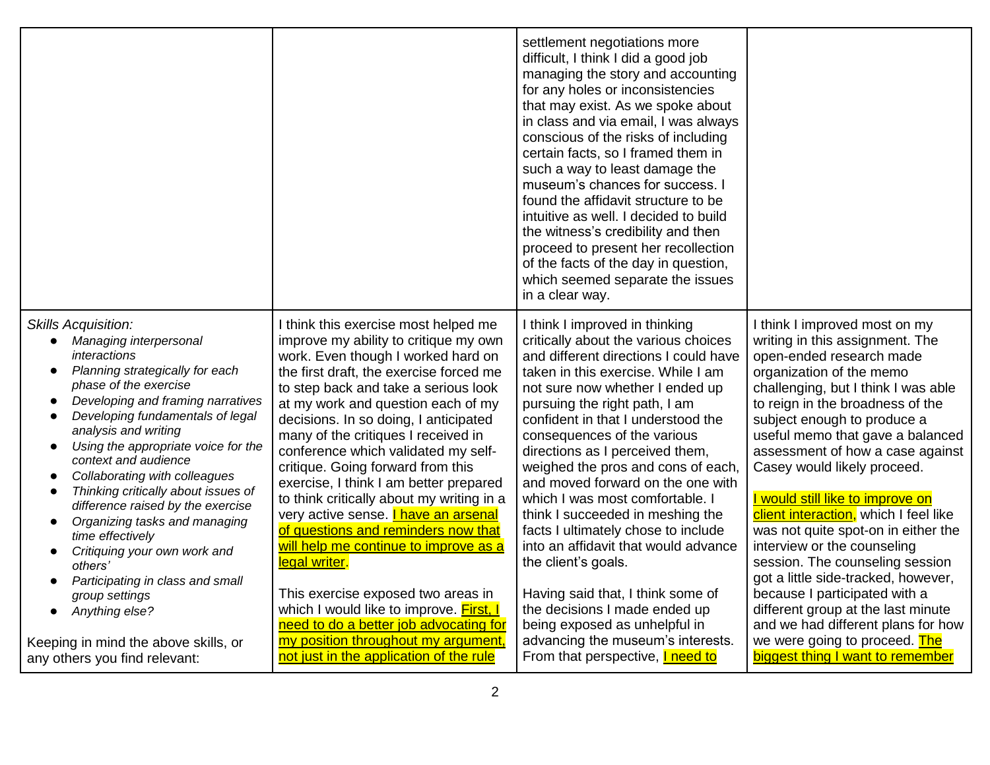|                                                                                                                                                                                                                                                                                                                                                                                                                                                                                                                                                                                                                                                        |                                                                                                                                                                                                                                                                                                                                                                                                                                                                                                                                                                                                                                                                                                                                                                                                                 | settlement negotiations more<br>difficult, I think I did a good job<br>managing the story and accounting<br>for any holes or inconsistencies<br>that may exist. As we spoke about<br>in class and via email, I was always<br>conscious of the risks of including<br>certain facts, so I framed them in<br>such a way to least damage the<br>museum's chances for success. I<br>found the affidavit structure to be<br>intuitive as well. I decided to build<br>the witness's credibility and then<br>proceed to present her recollection<br>of the facts of the day in question,<br>which seemed separate the issues<br>in a clear way.                                                          |                                                                                                                                                                                                                                                                                                                                                                                                                                                                                                                                                                                                                                                                                                                      |
|--------------------------------------------------------------------------------------------------------------------------------------------------------------------------------------------------------------------------------------------------------------------------------------------------------------------------------------------------------------------------------------------------------------------------------------------------------------------------------------------------------------------------------------------------------------------------------------------------------------------------------------------------------|-----------------------------------------------------------------------------------------------------------------------------------------------------------------------------------------------------------------------------------------------------------------------------------------------------------------------------------------------------------------------------------------------------------------------------------------------------------------------------------------------------------------------------------------------------------------------------------------------------------------------------------------------------------------------------------------------------------------------------------------------------------------------------------------------------------------|--------------------------------------------------------------------------------------------------------------------------------------------------------------------------------------------------------------------------------------------------------------------------------------------------------------------------------------------------------------------------------------------------------------------------------------------------------------------------------------------------------------------------------------------------------------------------------------------------------------------------------------------------------------------------------------------------|----------------------------------------------------------------------------------------------------------------------------------------------------------------------------------------------------------------------------------------------------------------------------------------------------------------------------------------------------------------------------------------------------------------------------------------------------------------------------------------------------------------------------------------------------------------------------------------------------------------------------------------------------------------------------------------------------------------------|
| <b>Skills Acquisition:</b><br>Managing interpersonal<br>interactions<br>Planning strategically for each<br>phase of the exercise<br>Developing and framing narratives<br>$\bullet$<br>Developing fundamentals of legal<br>$\bullet$<br>analysis and writing<br>Using the appropriate voice for the<br>$\bullet$<br>context and audience<br>Collaborating with colleagues<br>$\bullet$<br>Thinking critically about issues of<br>difference raised by the exercise<br>Organizing tasks and managing<br>$\bullet$<br>time effectively<br>Critiquing your own work and<br>others'<br>Participating in class and small<br>group settings<br>Anything else? | think this exercise most helped me<br>improve my ability to critique my own<br>work. Even though I worked hard on<br>the first draft, the exercise forced me<br>to step back and take a serious look<br>at my work and question each of my<br>decisions. In so doing, I anticipated<br>many of the critiques I received in<br>conference which validated my self-<br>critique. Going forward from this<br>exercise, I think I am better prepared<br>to think critically about my writing in a<br>very active sense. <i>I have an arsenal</i><br>of questions and reminders now that<br>will help me continue to improve as a<br>legal writer.<br>This exercise exposed two areas in<br>which I would like to improve. First, I<br>need to do a better job advocating for<br>my position throughout my argument, | I think I improved in thinking<br>critically about the various choices<br>and different directions I could have<br>taken in this exercise. While I am<br>not sure now whether I ended up<br>pursuing the right path, I am<br>confident in that I understood the<br>consequences of the various<br>directions as I perceived them,<br>weighed the pros and cons of each,<br>and moved forward on the one with<br>which I was most comfortable. I<br>think I succeeded in meshing the<br>facts I ultimately chose to include<br>into an affidavit that would advance<br>the client's goals.<br>Having said that, I think some of<br>the decisions I made ended up<br>being exposed as unhelpful in | I think I improved most on my<br>writing in this assignment. The<br>open-ended research made<br>organization of the memo<br>challenging, but I think I was able<br>to reign in the broadness of the<br>subject enough to produce a<br>useful memo that gave a balanced<br>assessment of how a case against<br>Casey would likely proceed.<br>I would still like to improve on<br>client interaction, which I feel like<br>was not quite spot-on in either the<br>interview or the counseling<br>session. The counseling session<br>got a little side-tracked, however,<br>because I participated with a<br>different group at the last minute<br>and we had different plans for how<br>we were going to proceed. The |
| Keeping in mind the above skills, or<br>any others you find relevant:                                                                                                                                                                                                                                                                                                                                                                                                                                                                                                                                                                                  | not just in the application of the rule                                                                                                                                                                                                                                                                                                                                                                                                                                                                                                                                                                                                                                                                                                                                                                         | advancing the museum's interests.<br>From that perspective, I need to                                                                                                                                                                                                                                                                                                                                                                                                                                                                                                                                                                                                                            | biggest thing I want to remember                                                                                                                                                                                                                                                                                                                                                                                                                                                                                                                                                                                                                                                                                     |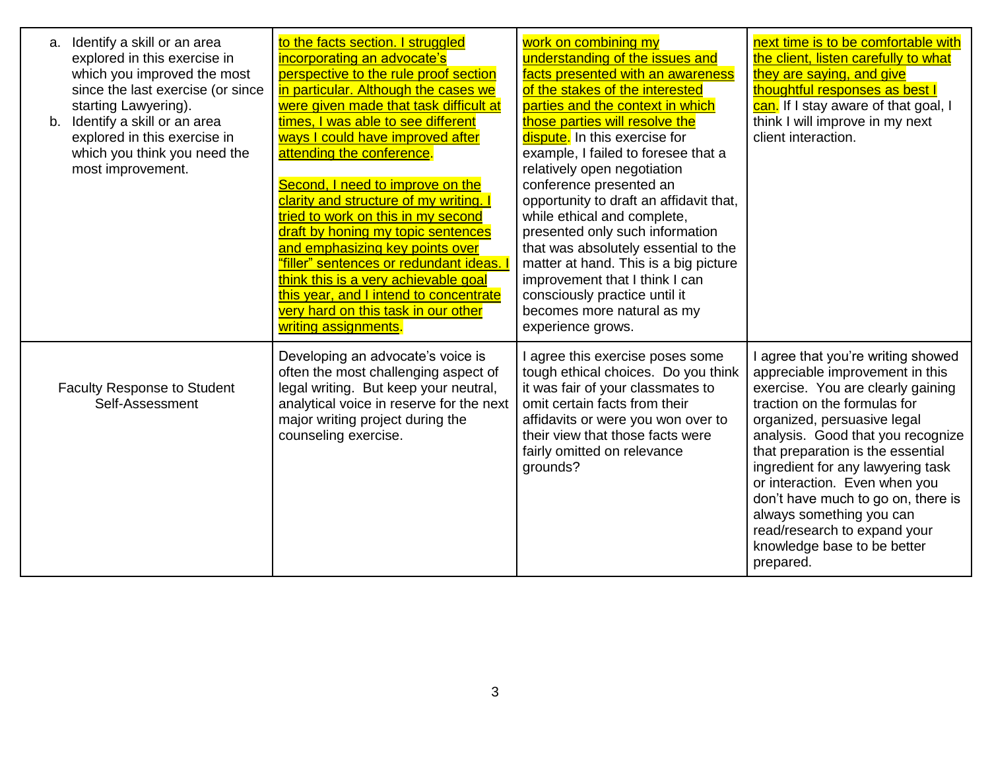| Identify a skill or an area<br>a.<br>explored in this exercise in<br>which you improved the most<br>since the last exercise (or since<br>starting Lawyering).<br>b. Identify a skill or an area<br>explored in this exercise in<br>which you think you need the<br>most improvement. | to the facts section. I struggled<br>incorporating an advocate's<br>perspective to the rule proof section<br>in particular. Although the cases we<br>were given made that task difficult at<br>times, I was able to see different<br>ways I could have improved after<br>attending the conference.<br>Second, I need to improve on the<br>clarity and structure of my writing. I<br>tried to work on this in my second<br>draft by honing my topic sentences<br>and emphasizing key points over<br>"filler" sentences or redundant ideas.<br>think this is a very achievable goal<br>this year, and I intend to concentrate<br>very hard on this task in our other<br>writing assignments. | work on combining my<br>understanding of the issues and<br>facts presented with an awareness<br>of the stakes of the interested<br>parties and the context in which<br>those parties will resolve the<br>dispute. In this exercise for<br>example, I failed to foresee that a<br>relatively open negotiation<br>conference presented an<br>opportunity to draft an affidavit that,<br>while ethical and complete,<br>presented only such information<br>that was absolutely essential to the<br>matter at hand. This is a big picture<br>improvement that I think I can<br>consciously practice until it<br>becomes more natural as my<br>experience grows. | next time is to be comfortable with<br>the client, listen carefully to what<br>they are saying, and give<br>thoughtful responses as best I<br>can. If I stay aware of that goal, I<br>think I will improve in my next<br>client interaction.                                                                                                                                                                                                                            |
|--------------------------------------------------------------------------------------------------------------------------------------------------------------------------------------------------------------------------------------------------------------------------------------|--------------------------------------------------------------------------------------------------------------------------------------------------------------------------------------------------------------------------------------------------------------------------------------------------------------------------------------------------------------------------------------------------------------------------------------------------------------------------------------------------------------------------------------------------------------------------------------------------------------------------------------------------------------------------------------------|-------------------------------------------------------------------------------------------------------------------------------------------------------------------------------------------------------------------------------------------------------------------------------------------------------------------------------------------------------------------------------------------------------------------------------------------------------------------------------------------------------------------------------------------------------------------------------------------------------------------------------------------------------------|-------------------------------------------------------------------------------------------------------------------------------------------------------------------------------------------------------------------------------------------------------------------------------------------------------------------------------------------------------------------------------------------------------------------------------------------------------------------------|
| <b>Faculty Response to Student</b><br>Self-Assessment                                                                                                                                                                                                                                | Developing an advocate's voice is<br>often the most challenging aspect of<br>legal writing. But keep your neutral,<br>analytical voice in reserve for the next<br>major writing project during the<br>counseling exercise.                                                                                                                                                                                                                                                                                                                                                                                                                                                                 | I agree this exercise poses some<br>tough ethical choices. Do you think<br>it was fair of your classmates to<br>omit certain facts from their<br>affidavits or were you won over to<br>their view that those facts were<br>fairly omitted on relevance<br>grounds?                                                                                                                                                                                                                                                                                                                                                                                          | I agree that you're writing showed<br>appreciable improvement in this<br>exercise. You are clearly gaining<br>traction on the formulas for<br>organized, persuasive legal<br>analysis. Good that you recognize<br>that preparation is the essential<br>ingredient for any lawyering task<br>or interaction. Even when you<br>don't have much to go on, there is<br>always something you can<br>read/research to expand your<br>knowledge base to be better<br>prepared. |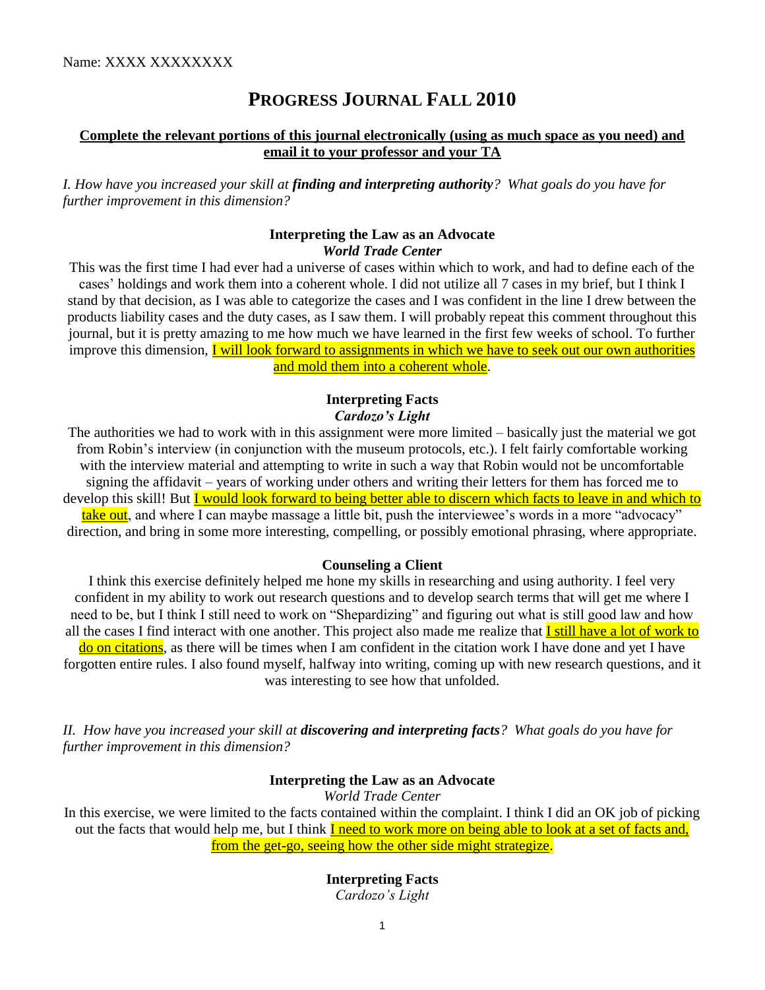Name: XXXX XXXXXXXX

## **PROGRESS JOURNAL FALL 2010**

## **Complete the relevant portions of this journal electronically (using as much space as you need) and email it to your professor and your TA**

*I. How have you increased your skill at finding and interpreting authority? What goals do you have for further improvement in this dimension?* 

## **Interpreting the Law as an Advocate**  *World Trade Center*

This was the first time I had ever had a universe of cases within which to work, and had to define each of the cases' holdings and work them into a coherent whole. I did not utilize all 7 cases in my brief, but I think I stand by that decision, as I was able to categorize the cases and I was confident in the line I drew between the products liability cases and the duty cases, as I saw them. I will probably repeat this comment throughout this journal, but it is pretty amazing to me how much we have learned in the first few weeks of school. To further improve this dimension, I will look forward to assignments in which we have to seek out our own authorities and mold them into a coherent whole.

## **Interpreting Facts**  *Cardozo's Light*

The authorities we had to work with in this assignment were more limited – basically just the material we got from Robin's interview (in conjunction with the museum protocols, etc.). I felt fairly comfortable working with the interview material and attempting to write in such a way that Robin would not be uncomfortable signing the affidavit – years of working under others and writing their letters for them has forced me to develop this skill! But I would look forward to being better able to discern which facts to leave in and which to take out, and where I can maybe massage a little bit, push the interviewee's words in a more "advocacy"

direction, and bring in some more interesting, compelling, or possibly emotional phrasing, where appropriate.

#### **Counseling a Client**

I think this exercise definitely helped me hone my skills in researching and using authority. I feel very confident in my ability to work out research questions and to develop search terms that will get me where I need to be, but I think I still need to work on "Shepardizing" and figuring out what is still good law and how all the cases I find interact with one another. This project also made me realize that **I still have a lot of work to** do on citations, as there will be times when I am confident in the citation work I have done and yet I have forgotten entire rules. I also found myself, halfway into writing, coming up with new research questions, and it was interesting to see how that unfolded.

*II. How have you increased your skill at discovering and interpreting facts? What goals do you have for further improvement in this dimension?* 

## **Interpreting the Law as an Advocate**

*World Trade Center* 

In this exercise, we were limited to the facts contained within the complaint. I think I did an OK job of picking out the facts that would help me, but I think I need to work more on being able to look at a set of facts and, from the get-go, seeing how the other side might strategize.

### **Interpreting Facts**

*Cardozo's Light*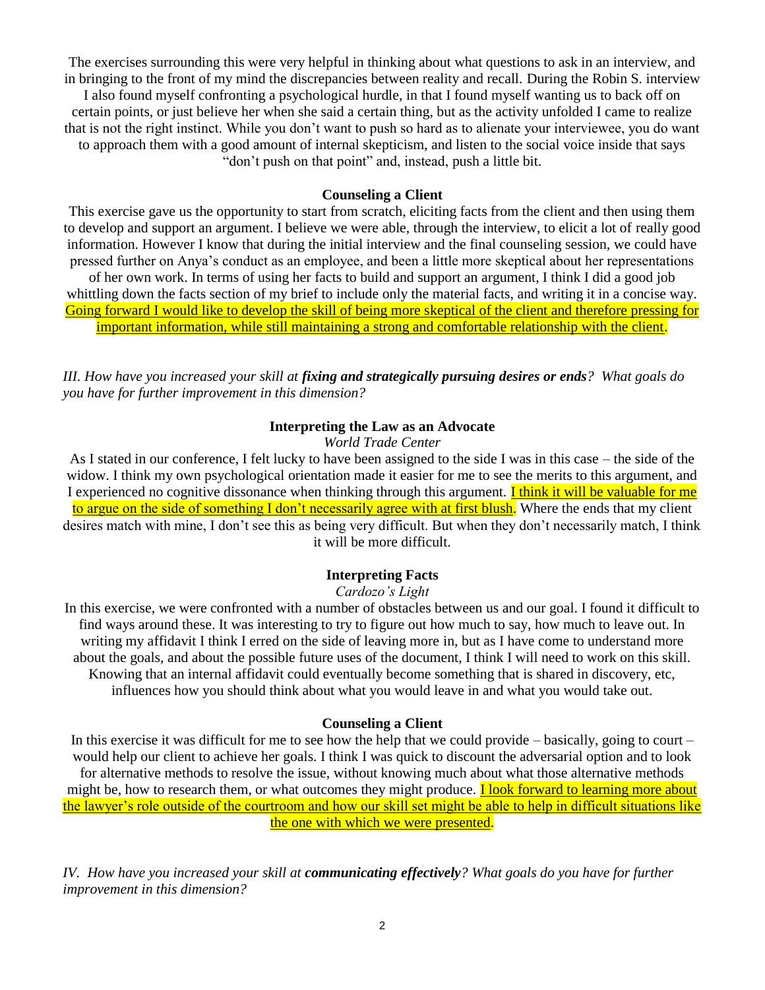The exercises surrounding this were very helpful in thinking about what questions to ask in an interview, and in bringing to the front of my mind the discrepancies between reality and recall. During the Robin S. interview I also found myself confronting a psychological hurdle, in that I found myself wanting us to back off on certain points, or just believe her when she said a certain thing, but as the activity unfolded I came to realize that is not the right instinct. While you don't want to push so hard as to alienate your interviewee, you do want to approach them with a good amount of internal skepticism, and listen to the social voice inside that says "don't push on that point" and, instead, push a little bit.

### **Counseling a Client**

This exercise gave us the opportunity to start from scratch, eliciting facts from the client and then using them to develop and support an argument. I believe we were able, through the interview, to elicit a lot of really good information. However I know that during the initial interview and the final counseling session, we could have pressed further on Anya's conduct as an employee, and been a little more skeptical about her representations of her own work. In terms of using her facts to build and support an argument, I think I did a good job whittling down the facts section of my brief to include only the material facts, and writing it in a concise way. Going forward I would like to develop the skill of being more skeptical of the client and therefore pressing for important information, while still maintaining a strong and comfortable relationship with the client.

*III. How have you increased your skill at fixing and strategically pursuing desires or ends? What goals do you have for further improvement in this dimension?* 

### **Interpreting the Law as an Advocate**

*World Trade Center* 

As I stated in our conference, I felt lucky to have been assigned to the side I was in this case – the side of the widow. I think my own psychological orientation made it easier for me to see the merits to this argument, and I experienced no cognitive dissonance when thinking through this argument. I think it will be valuable for me to argue on the side of something I don't necessarily agree with at first blush. Where the ends that my client desires match with mine, I don't see this as being very difficult. But when they don't necessarily match, I think it will be more difficult.

#### **Interpreting Facts**

#### *Cardozo's Light*

In this exercise, we were confronted with a number of obstacles between us and our goal. I found it difficult to find ways around these. It was interesting to try to figure out how much to say, how much to leave out. In writing my affidavit I think I erred on the side of leaving more in, but as I have come to understand more about the goals, and about the possible future uses of the document, I think I will need to work on this skill. Knowing that an internal affidavit could eventually become something that is shared in discovery, etc, influences how you should think about what you would leave in and what you would take out.

#### **Counseling a Client**

In this exercise it was difficult for me to see how the help that we could provide – basically, going to court – would help our client to achieve her goals. I think I was quick to discount the adversarial option and to look for alternative methods to resolve the issue, without knowing much about what those alternative methods might be, how to research them, or what outcomes they might produce. I look forward to learning more about the lawyer's role outside of the courtroom and how our skill set might be able to help in difficult situations like the one with which we were presented.

*IV. How have you increased your skill at communicating effectively? What goals do you have for further improvement in this dimension?*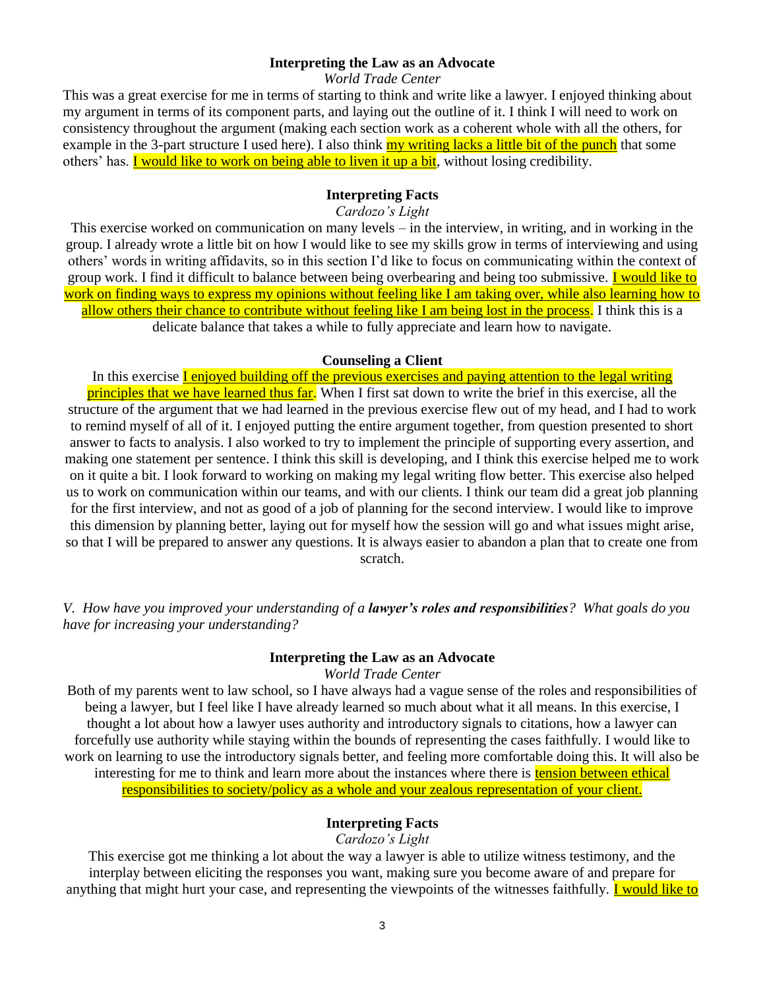#### **Interpreting the Law as an Advocate**

*World Trade Center* 

This was a great exercise for me in terms of starting to think and write like a lawyer. I enjoyed thinking about my argument in terms of its component parts, and laying out the outline of it. I think I will need to work on consistency throughout the argument (making each section work as a coherent whole with all the others, for example in the 3-part structure I used here). I also think my writing lacks a little bit of the punch that some others' has. I would like to work on being able to liven it up a bit, without losing credibility.

## **Interpreting Facts**

*Cardozo's Light*

This exercise worked on communication on many levels – in the interview, in writing, and in working in the group. I already wrote a little bit on how I would like to see my skills grow in terms of interviewing and using others' words in writing affidavits, so in this section I'd like to focus on communicating within the context of group work. I find it difficult to balance between being overbearing and being too submissive. I would like to work on finding ways to express my opinions without feeling like I am taking over, while also learning how to allow others their chance to contribute without feeling like I am being lost in the process. I think this is a delicate balance that takes a while to fully appreciate and learn how to navigate.

#### **Counseling a Client**

In this exercise **Lenjoyed building off the previous exercises and paying attention to the legal writing** principles that we have learned thus far. When I first sat down to write the brief in this exercise, all the structure of the argument that we had learned in the previous exercise flew out of my head, and I had to work to remind myself of all of it. I enjoyed putting the entire argument together, from question presented to short answer to facts to analysis. I also worked to try to implement the principle of supporting every assertion, and making one statement per sentence. I think this skill is developing, and I think this exercise helped me to work on it quite a bit. I look forward to working on making my legal writing flow better. This exercise also helped us to work on communication within our teams, and with our clients. I think our team did a great job planning for the first interview, and not as good of a job of planning for the second interview. I would like to improve this dimension by planning better, laying out for myself how the session will go and what issues might arise, so that I will be prepared to answer any questions. It is always easier to abandon a plan that to create one from scratch.

*V. How have you improved your understanding of a lawyer's roles and responsibilities? What goals do you have for increasing your understanding?* 

#### **Interpreting the Law as an Advocate**

*World Trade Center* 

Both of my parents went to law school, so I have always had a vague sense of the roles and responsibilities of being a lawyer, but I feel like I have already learned so much about what it all means. In this exercise, I thought a lot about how a lawyer uses authority and introductory signals to citations, how a lawyer can forcefully use authority while staying within the bounds of representing the cases faithfully. I would like to work on learning to use the introductory signals better, and feeling more comfortable doing this. It will also be interesting for me to think and learn more about the instances where there is **tension between ethical** responsibilities to society/policy as a whole and your zealous representation of your client.

#### **Interpreting Facts**

*Cardozo's Light* 

This exercise got me thinking a lot about the way a lawyer is able to utilize witness testimony, and the interplay between eliciting the responses you want, making sure you become aware of and prepare for anything that might hurt your case, and representing the viewpoints of the witnesses faithfully. I would like to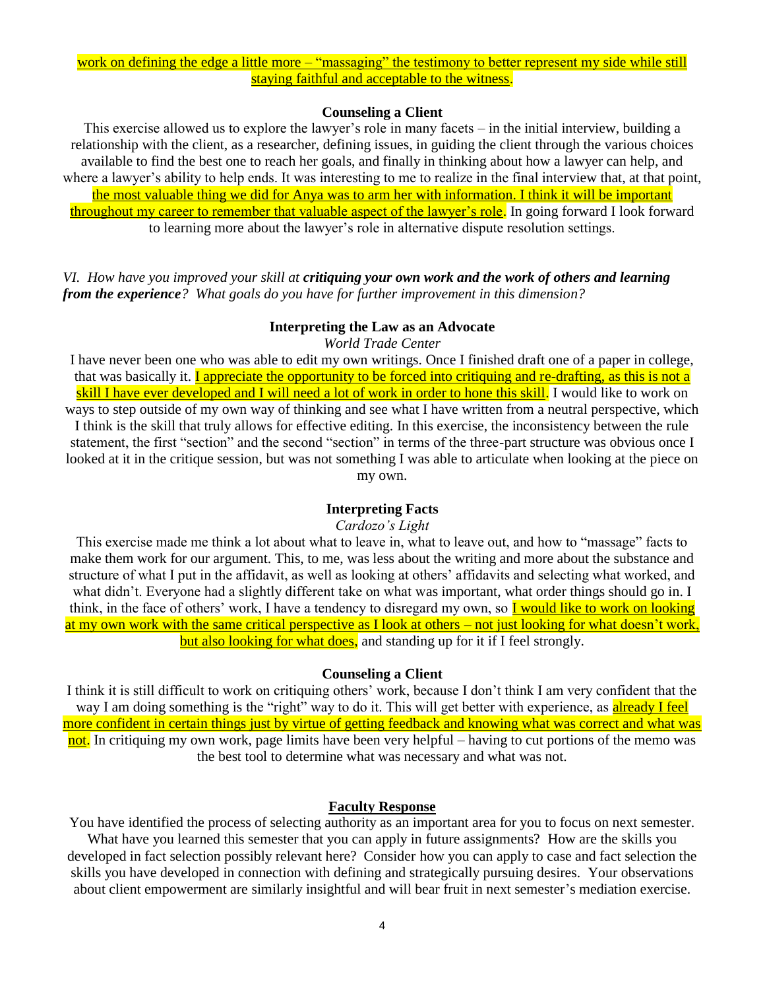#### **Counseling a Client**

This exercise allowed us to explore the lawyer's role in many facets – in the initial interview, building a relationship with the client, as a researcher, defining issues, in guiding the client through the various choices available to find the best one to reach her goals, and finally in thinking about how a lawyer can help, and where a lawyer's ability to help ends. It was interesting to me to realize in the final interview that, at that point, the most valuable thing we did for Anya was to arm her with information. I think it will be important throughout my career to remember that valuable aspect of the lawyer's role. In going forward I look forward to learning more about the lawyer's role in alternative dispute resolution settings.

*VI. How have you improved your skill at critiquing your own work and the work of others and learning from the experience? What goals do you have for further improvement in this dimension?* 

#### **Interpreting the Law as an Advocate**

*World Trade Center* 

I have never been one who was able to edit my own writings. Once I finished draft one of a paper in college, that was basically it. **I appreciate the opportunity to be forced into critiquing and re-drafting, as this is not a** skill I have ever developed and I will need a lot of work in order to hone this skill. I would like to work on ways to step outside of my own way of thinking and see what I have written from a neutral perspective, which I think is the skill that truly allows for effective editing. In this exercise, the inconsistency between the rule statement, the first "section" and the second "section" in terms of the three-part structure was obvious once I

looked at it in the critique session, but was not something I was able to articulate when looking at the piece on my own.

### **Interpreting Facts**

#### *Cardozo's Light*

This exercise made me think a lot about what to leave in, what to leave out, and how to "massage" facts to make them work for our argument. This, to me, was less about the writing and more about the substance and structure of what I put in the affidavit, as well as looking at others' affidavits and selecting what worked, and what didn't. Everyone had a slightly different take on what was important, what order things should go in. I think, in the face of others' work, I have a tendency to disregard my own, so I would like to work on looking at my own work with the same critical perspective as I look at others – not just looking for what doesn't work, but also looking for what does, and standing up for it if I feel strongly.

#### **Counseling a Client**

I think it is still difficult to work on critiquing others' work, because I don't think I am very confident that the way I am doing something is the "right" way to do it. This will get better with experience, as already I feel more confident in certain things just by virtue of getting feedback and knowing what was correct and what was not. In critiquing my own work, page limits have been very helpful – having to cut portions of the memo was the best tool to determine what was necessary and what was not.

#### **Faculty Response**

You have identified the process of selecting authority as an important area for you to focus on next semester. What have you learned this semester that you can apply in future assignments? How are the skills you developed in fact selection possibly relevant here? Consider how you can apply to case and fact selection the skills you have developed in connection with defining and strategically pursuing desires. Your observations about client empowerment are similarly insightful and will bear fruit in next semester's mediation exercise.